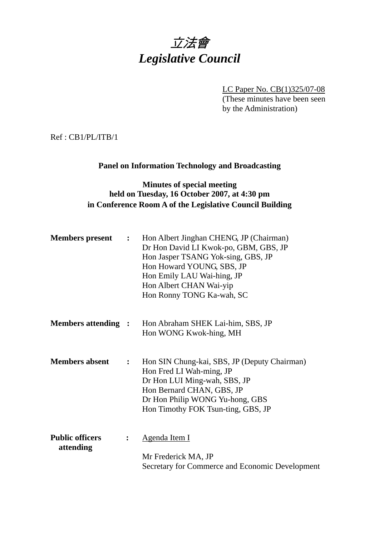# 立法會 *Legislative Council*

LC Paper No. CB(1)325/07-08

(These minutes have been seen by the Administration)

Ref : CB1/PL/ITB/1

# **Panel on Information Technology and Broadcasting**

## **Minutes of special meeting held on Tuesday, 16 October 2007, at 4:30 pm in Conference Room A of the Legislative Council Building**

| <b>Members</b> present              | $\ddot{\bullet}$ | Hon Albert Jinghan CHENG, JP (Chairman)<br>Dr Hon David LI Kwok-po, GBM, GBS, JP<br>Hon Jasper TSANG Yok-sing, GBS, JP<br>Hon Howard YOUNG, SBS, JP<br>Hon Emily LAU Wai-hing, JP<br>Hon Albert CHAN Wai-yip<br>Hon Ronny TONG Ka-wah, SC |
|-------------------------------------|------------------|-------------------------------------------------------------------------------------------------------------------------------------------------------------------------------------------------------------------------------------------|
| <b>Members attending :</b>          |                  | Hon Abraham SHEK Lai-him, SBS, JP<br>Hon WONG Kwok-hing, MH                                                                                                                                                                               |
| <b>Members absent</b>               | $\ddot{\cdot}$   | Hon SIN Chung-kai, SBS, JP (Deputy Chairman)<br>Hon Fred LI Wah-ming, JP<br>Dr Hon LUI Ming-wah, SBS, JP<br>Hon Bernard CHAN, GBS, JP<br>Dr Hon Philip WONG Yu-hong, GBS<br>Hon Timothy FOK Tsun-ting, GBS, JP                            |
| <b>Public officers</b><br>attending | $\ddot{\cdot}$   | <u>Agenda Item I</u><br>Mr Frederick MA, JP<br>Secretary for Commerce and Economic Development                                                                                                                                            |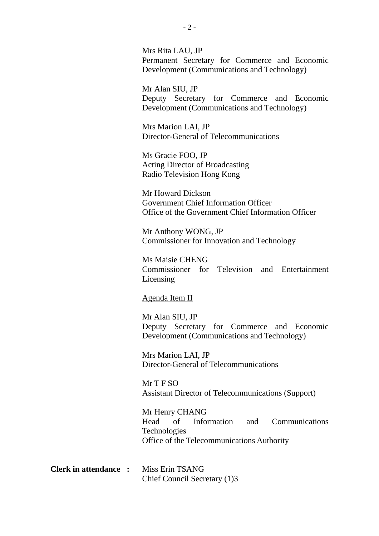Mrs Rita LAU, JP Permanent Secretary for Commerce and Economic Development (Communications and Technology)

Mr Alan SIU, JP Deputy Secretary for Commerce and Economic Development (Communications and Technology)

Mrs Marion LAI, JP Director-General of Telecommunications

Ms Gracie FOO, JP Acting Director of Broadcasting Radio Television Hong Kong

Mr Howard Dickson Government Chief Information Officer Office of the Government Chief Information Officer

Mr Anthony WONG, JP Commissioner for Innovation and Technology

Ms Maisie CHENG Commissioner for Television and Entertainment Licensing

#### Agenda Item II

Mr Alan SIU, JP Deputy Secretary for Commerce and Economic Development (Communications and Technology)

Mrs Marion LAI, JP Director-General of Telecommunications

Mr T F SO Assistant Director of Telecommunications (Support)

Mr Henry CHANG Head of Information and Communications Technologies Office of the Telecommunications Authority

**Clerk in attendance :** Miss Erin TSANG Chief Council Secretary (1)3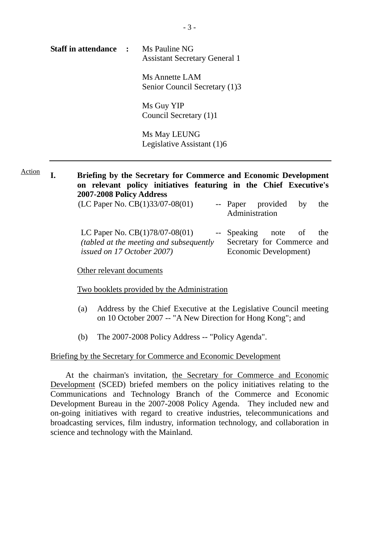| <b>Staff in attendance :</b> | Ms Pauline NG<br><b>Assistant Secretary General 1</b> |  |
|------------------------------|-------------------------------------------------------|--|
|                              | Ms Annette LAM                                        |  |

Senior Council Secretary (1)3

Ms Guy YIP Council Secretary (1)1

Ms May LEUNG Legislative Assistant (1)6

**I. Briefing by the Secretary for Commerce and Economic Development on relevant policy initiatives featuring in the Chief Executive's 2007-2008 Policy Address**  Action

| (LC Paper No. $CB(1)33/07-08(01)$ )             | -- Paper provided by<br>Administration |                       | the |
|-------------------------------------------------|----------------------------------------|-----------------------|-----|
| LC Paper No. $CB(1)78/07-08(01)$                | -- Speaking note of                    |                       | the |
| <i>(tabled at the meeting and subsequently)</i> | Secretary for Commerce and             |                       |     |
| <i>issued on 17 October 2007</i> )              |                                        | Economic Development) |     |

Other relevant documents

Two booklets provided by the Administration

- (a) Address by the Chief Executive at the Legislative Council meeting on 10 October 2007 -- "A New Direction for Hong Kong"; and
- (b) The 2007-2008 Policy Address -- "Policy Agenda".

#### Briefing by the Secretary for Commerce and Economic Development

 At the chairman's invitation, the Secretary for Commerce and Economic Development (SCED) briefed members on the policy initiatives relating to the Communications and Technology Branch of the Commerce and Economic Development Bureau in the 2007-2008 Policy Agenda. They included new and on-going initiatives with regard to creative industries, telecommunications and broadcasting services, film industry, information technology, and collaboration in science and technology with the Mainland.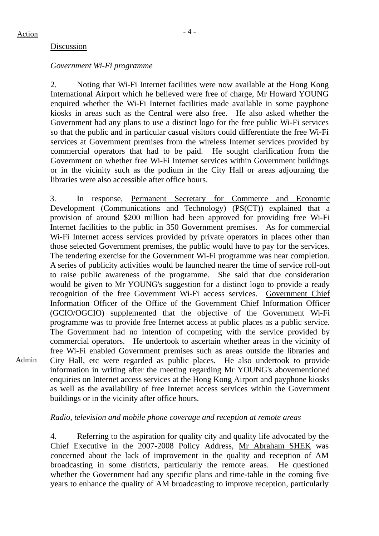Admin

#### Discussion

#### *Government Wi-Fi programme*

2. Noting that Wi-Fi Internet facilities were now available at the Hong Kong International Airport which he believed were free of charge, Mr Howard YOUNG enquired whether the Wi-Fi Internet facilities made available in some payphone kiosks in areas such as the Central were also free. He also asked whether the Government had any plans to use a distinct logo for the free public Wi-Fi services so that the public and in particular casual visitors could differentiate the free Wi-Fi services at Government premises from the wireless Internet services provided by commercial operators that had to be paid. He sought clarification from the Government on whether free Wi-Fi Internet services within Government buildings or in the vicinity such as the podium in the City Hall or areas adjourning the libraries were also accessible after office hours.

3. In response, Permanent Secretary for Commerce and Economic Development (Communications and Technology) (PS(CT)) explained that a provision of around \$200 million had been approved for providing free Wi-Fi Internet facilities to the public in 350 Government premises. As for commercial Wi-Fi Internet access services provided by private operators in places other than those selected Government premises, the public would have to pay for the services. The tendering exercise for the Government Wi-Fi programme was near completion. A series of publicity activities would be launched nearer the time of service roll-out to raise public awareness of the programme. She said that due consideration would be given to Mr YOUNG's suggestion for a distinct logo to provide a ready recognition of the free Government Wi-Fi access services. Government Chief Information Officer of the Office of the Government Chief Information Officer (GCIO/OGCIO) supplemented that the objective of the Government Wi-Fi programme was to provide free Internet access at public places as a public service. The Government had no intention of competing with the service provided by commercial operators. He undertook to ascertain whether areas in the vicinity of free Wi-Fi enabled Government premises such as areas outside the libraries and City Hall, etc were regarded as public places. He also undertook to provide information in writing after the meeting regarding Mr YOUNG's abovementioned enquiries on Internet access services at the Hong Kong Airport and payphone kiosks as well as the availability of free Internet access services within the Government buildings or in the vicinity after office hours.

#### *Radio, television and mobile phone coverage and reception at remote areas*

4. Referring to the aspiration for quality city and quality life advocated by the Chief Executive in the 2007-2008 Policy Address, Mr Abraham SHEK was concerned about the lack of improvement in the quality and reception of AM broadcasting in some districts, particularly the remote areas. He questioned whether the Government had any specific plans and time-table in the coming five years to enhance the quality of AM broadcasting to improve reception, particularly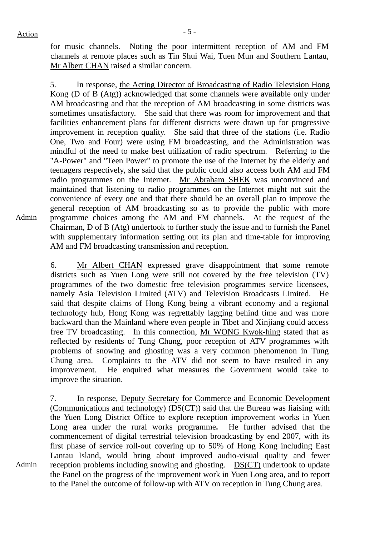Admin

for music channels. Noting the poor intermittent reception of AM and FM channels at remote places such as Tin Shui Wai, Tuen Mun and Southern Lantau, Mr Albert CHAN raised a similar concern.

5. In response, the Acting Director of Broadcasting of Radio Television Hong Kong (D of B (Atg)) acknowledged that some channels were available only under AM broadcasting and that the reception of AM broadcasting in some districts was sometimes unsatisfactory. She said that there was room for improvement and that facilities enhancement plans for different districts were drawn up for progressive improvement in reception quality. She said that three of the stations (i.e. Radio One, Two and Four) were using FM broadcasting, and the Administration was mindful of the need to make best utilization of radio spectrum. Referring to the "A-Power" and "Teen Power" to promote the use of the Internet by the elderly and teenagers respectively, she said that the public could also access both AM and FM radio programmes on the Internet. Mr Abraham SHEK was unconvinced and maintained that listening to radio programmes on the Internet might not suit the convenience of every one and that there should be an overall plan to improve the general reception of AM broadcasting so as to provide the public with more programme choices among the AM and FM channels. At the request of the Chairman, D of B (Atg) undertook to further study the issue and to furnish the Panel with supplementary information setting out its plan and time-table for improving AM and FM broadcasting transmission and reception.

6. Mr Albert CHAN expressed grave disappointment that some remote districts such as Yuen Long were still not covered by the free television (TV) programmes of the two domestic free television programmes service licensees, namely Asia Television Limited (ATV) and Television Broadcasts Limited. He said that despite claims of Hong Kong being a vibrant economy and a regional technology hub, Hong Kong was regrettably lagging behind time and was more backward than the Mainland where even people in Tibet and Xinjiang could access free TV broadcasting. In this connection, Mr WONG Kwok-hing stated that as reflected by residents of Tung Chung, poor reception of ATV programmes with problems of snowing and ghosting was a very common phenomenon in Tung Chung area. Complaints to the ATV did not seem to have resulted in any improvement. He enquired what measures the Government would take to improve the situation.

7. In response, Deputy Secretary for Commerce and Economic Development (Communications and technology) (DS(CT)) said that the Bureau was liaising with the Yuen Long District Office to explore reception improvement works in Yuen Long area under the rural works programme**.** He further advised that the commencement of digital terrestrial television broadcasting by end 2007, with its first phase of service roll-out covering up to 50% of Hong Kong including East Lantau Island, would bring about improved audio-visual quality and fewer reception problems including snowing and ghosting. DS(CT) undertook to update the Panel on the progress of the improvement work in Yuen Long area, and to report to the Panel the outcome of follow-up with ATV on reception in Tung Chung area.

Admin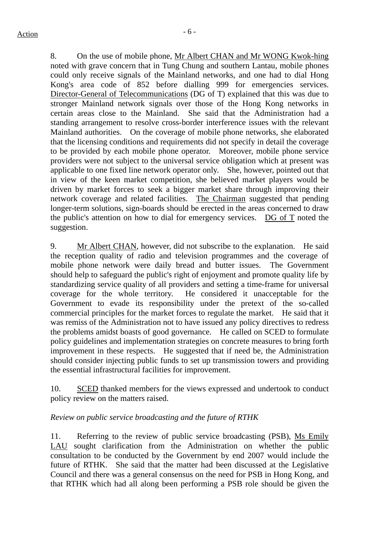8. On the use of mobile phone, Mr Albert CHAN and Mr WONG Kwok-hing noted with grave concern that in Tung Chung and southern Lantau, mobile phones could only receive signals of the Mainland networks, and one had to dial Hong Kong's area code of 852 before dialling 999 for emergencies services. Director-General of Telecommunications (DG of T) explained that this was due to stronger Mainland network signals over those of the Hong Kong networks in certain areas close to the Mainland. She said that the Administration had a standing arrangement to resolve cross-border interference issues with the relevant Mainland authorities. On the coverage of mobile phone networks, she elaborated that the licensing conditions and requirements did not specify in detail the coverage to be provided by each mobile phone operator. Moreover, mobile phone service providers were not subject to the universal service obligation which at present was applicable to one fixed line network operator only. She, however, pointed out that in view of the keen market competition, she believed market players would be driven by market forces to seek a bigger market share through improving their network coverage and related facilities. The Chairman suggested that pending longer-term solutions, sign-boards should be erected in the areas concerned to draw the public's attention on how to dial for emergency services. DG of T noted the suggestion.

9. Mr Albert CHAN, however, did not subscribe to the explanation. He said the reception quality of radio and television programmes and the coverage of mobile phone network were daily bread and butter issues. The Government should help to safeguard the public's right of enjoyment and promote quality life by standardizing service quality of all providers and setting a time-frame for universal coverage for the whole territory. He considered it unacceptable for the Government to evade its responsibility under the pretext of the so-called commercial principles for the market forces to regulate the market. He said that it was remiss of the Administration not to have issued any policy directives to redress the problems amidst boasts of good governance. He called on SCED to formulate policy guidelines and implementation strategies on concrete measures to bring forth improvement in these respects. He suggested that if need be, the Administration should consider injecting public funds to set up transmission towers and providing the essential infrastructural facilities for improvement.

10. SCED thanked members for the views expressed and undertook to conduct policy review on the matters raised.

## *Review on public service broadcasting and the future of RTHK*

11. Referring to the review of public service broadcasting (PSB), Ms Emily LAU sought clarification from the Administration on whether the public consultation to be conducted by the Government by end 2007 would include the future of RTHK. She said that the matter had been discussed at the Legislative Council and there was a general consensus on the need for PSB in Hong Kong, and that RTHK which had all along been performing a PSB role should be given the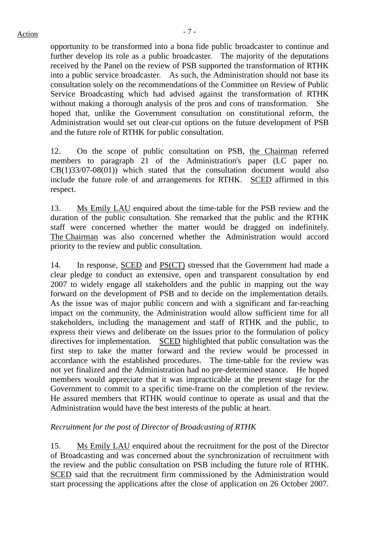opportunity to be transformed into a bona fide public broadcaster to continue and further develop its role as a public broadcaster. The majority of the deputations received by the Panel on the review of PSB supported the transformation of RTHK into a public service broadcaster. As such, the Administration should not base its consultation solely on the recommendations of the Committee on Review of Public Service Broadcasting which had advised against the transformation of RTHK without making a thorough analysis of the pros and cons of transformation. She hoped that, unlike the Government consultation on constitutional reform, the Administration would set out clear-cut options on the future development of PSB and the future role of RTHK for public consultation.

12. On the scope of public consultation on PSB, the Chairman referred members to paragraph 21 of the Administration's paper (LC paper no.  $CB(1)33/07-08(01)$  which stated that the consultation document would also include the future role of and arrangements for RTHK. SCED affirmed in this respect.

13. Ms Emily LAU enquired about the time-table for the PSB review and the duration of the public consultation. She remarked that the public and the RTHK staff were concerned whether the matter would be dragged on indefinitely. The Chairman was also concerned whether the Administration would accord priority to the review and public consultation.

14. In response, SCED and PS(CT) stressed that the Government had made a clear pledge to conduct an extensive, open and transparent consultation by end 2007 to widely engage all stakeholders and the public in mapping out the way forward on the development of PSB and to decide on the implementation details. As the issue was of major public concern and with a significant and far-reaching impact on the community, the Administration would allow sufficient time for all stakeholders, including the management and staff of RTHK and the public, to express their views and deliberate on the issues prior to the formulation of policy directives for implementation. SCED highlighted that public consultation was the first step to take the matter forward and the review would be processed in accordance with the established procedures. The time-table for the review was not yet finalized and the Administration had no pre-determined stance. He hoped members would appreciate that it was impracticable at the present stage for the Government to commit to a specific time-frame on the completion of the review. He assured members that RTHK would continue to operate as usual and that the Administration would have the best interests of the public at heart.

## *Recruitment for the post of Director of Broadcasting of RTHK*

15. Ms Emily LAU enquired about the recruitment for the post of the Director of Broadcasting and was concerned about the synchronization of recruitment with the review and the public consultation on PSB including the future role of RTHK. SCED said that the recruitment firm commissioned by the Administration would start processing the applications after the close of application on 26 October 2007.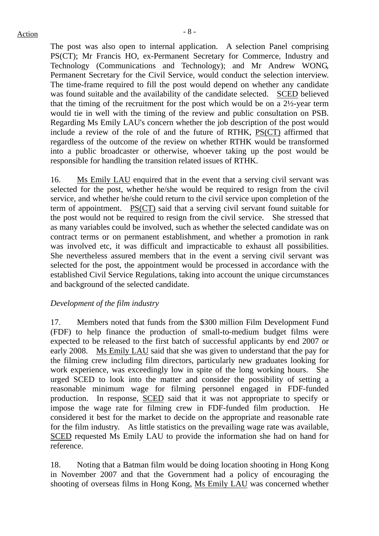The post was also open to internal application. A selection Panel comprising PS(CT); Mr Francis HO, ex-Permanent Secretary for Commerce, Industry and Technology (Communications and Technology); and Mr Andrew WONG, Permanent Secretary for the Civil Service, would conduct the selection interview. The time-frame required to fill the post would depend on whether any candidate was found suitable and the availability of the candidate selected. SCED believed that the timing of the recruitment for the post which would be on a 2½-year term would tie in well with the timing of the review and public consultation on PSB. Regarding Ms Emily LAU's concern whether the job description of the post would include a review of the role of and the future of RTHK, PS(CT) affirmed that regardless of the outcome of the review on whether RTHK would be transformed into a public broadcaster or otherwise, whoever taking up the post would be responsible for handling the transition related issues of RTHK.

16. Ms Emily LAU enquired that in the event that a serving civil servant was selected for the post, whether he/she would be required to resign from the civil service, and whether he/she could return to the civil service upon completion of the term of appointment. PS(CT) said that a serving civil servant found suitable for the post would not be required to resign from the civil service. She stressed that as many variables could be involved, such as whether the selected candidate was on contract terms or on permanent establishment, and whether a promotion in rank was involved etc, it was difficult and impracticable to exhaust all possibilities. She nevertheless assured members that in the event a serving civil servant was selected for the post, the appointment would be processed in accordance with the established Civil Service Regulations, taking into account the unique circumstances and background of the selected candidate.

#### *Development of the film industry*

17. Members noted that funds from the \$300 million Film Development Fund (FDF) to help finance the production of small-to-medium budget films were expected to be released to the first batch of successful applicants by end 2007 or early 2008. Ms Emily LAU said that she was given to understand that the pay for the filming crew including film directors, particularly new graduates looking for work experience, was exceedingly low in spite of the long working hours. She urged SCED to look into the matter and consider the possibility of setting a reasonable minimum wage for filming personnel engaged in FDF-funded production. In response, SCED said that it was not appropriate to specify or impose the wage rate for filming crew in FDF-funded film production. He considered it best for the market to decide on the appropriate and reasonable rate for the film industry. As little statistics on the prevailing wage rate was available, SCED requested Ms Emily LAU to provide the information she had on hand for reference.

18. Noting that a Batman film would be doing location shooting in Hong Kong in November 2007 and that the Government had a policy of encouraging the shooting of overseas films in Hong Kong, Ms Emily LAU was concerned whether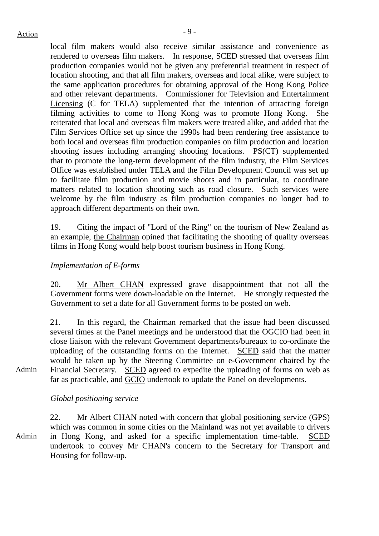local film makers would also receive similar assistance and convenience as rendered to overseas film makers. In response, SCED stressed that overseas film production companies would not be given any preferential treatment in respect of location shooting, and that all film makers, overseas and local alike, were subject to the same application procedures for obtaining approval of the Hong Kong Police and other relevant departments. Commissioner for Television and Entertainment Licensing (C for TELA) supplemented that the intention of attracting foreign filming activities to come to Hong Kong was to promote Hong Kong. She reiterated that local and overseas film makers were treated alike, and added that the Film Services Office set up since the 1990s had been rendering free assistance to both local and overseas film production companies on film production and location shooting issues including arranging shooting locations. PS(CT) supplemented that to promote the long-term development of the film industry, the Film Services Office was established under TELA and the Film Development Council was set up to facilitate film production and movie shoots and in particular, to coordinate matters related to location shooting such as road closure. Such services were welcome by the film industry as film production companies no longer had to approach different departments on their own.

19. Citing the impact of "Lord of the Ring" on the tourism of New Zealand as an example, the Chairman opined that facilitating the shooting of quality overseas films in Hong Kong would help boost tourism business in Hong Kong.

#### *Implementation of E-forms*

20. Mr Albert CHAN expressed grave disappointment that not all the Government forms were down-loadable on the Internet. He strongly requested the Government to set a date for all Government forms to be posted on web.

21. In this regard, the Chairman remarked that the issue had been discussed several times at the Panel meetings and he understood that the OGCIO had been in close liaison with the relevant Government departments/bureaux to co-ordinate the uploading of the outstanding forms on the Internet. SCED said that the matter would be taken up by the Steering Committee on e-Government chaired by the Financial Secretary. SCED agreed to expedite the uploading of forms on web as far as practicable, and GCIO undertook to update the Panel on developments.

*Global positioning service* 

Admin 22. Mr Albert CHAN noted with concern that global positioning service (GPS) which was common in some cities on the Mainland was not yet available to drivers in Hong Kong, and asked for a specific implementation time-table. SCED undertook to convey Mr CHAN's concern to the Secretary for Transport and Housing for follow-up.

Admin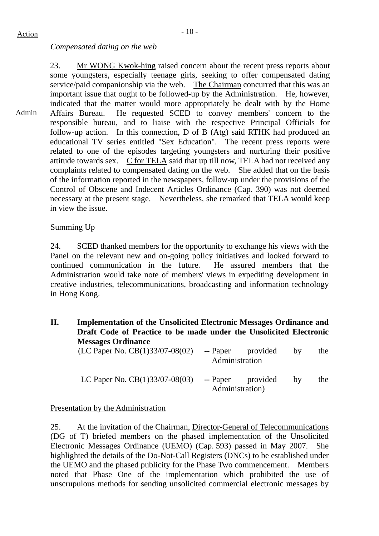## *Compensated dating on the web*

Admin 23. Mr WONG Kwok-hing raised concern about the recent press reports about some youngsters, especially teenage girls, seeking to offer compensated dating service/paid companionship via the web. The Chairman concurred that this was an important issue that ought to be followed-up by the Administration. He, however, indicated that the matter would more appropriately be dealt with by the Home Affairs Bureau. He requested SCED to convey members' concern to the responsible bureau, and to liaise with the respective Principal Officials for follow-up action. In this connection,  $\underline{D}$  of  $\underline{B}$  (Atg) said RTHK had produced an educational TV series entitled "Sex Education". The recent press reports were related to one of the episodes targeting youngsters and nurturing their positive attitude towards sex. C for TELA said that up till now, TELA had not received any complaints related to compensated dating on the web. She added that on the basis of the information reported in the newspapers, follow-up under the provisions of the Control of Obscene and Indecent Articles Ordinance (Cap. 390) was not deemed necessary at the present stage. Nevertheless, she remarked that TELA would keep in view the issue.

## Summing Up

24. SCED thanked members for the opportunity to exchange his views with the Panel on the relevant new and on-going policy initiatives and looked forward to continued communication in the future. He assured members that the Administration would take note of members' views in expediting development in creative industries, telecommunications, broadcasting and information technology in Hong Kong.

**II. Implementation of the Unsolicited Electronic Messages Ordinance and Draft Code of Practice to be made under the Unsolicited Electronic Messages Ordinance** 

| (LC Paper No. $CB(1)33/07-08(02)$ ) | Administration  | -- Paper provided | by | the |
|-------------------------------------|-----------------|-------------------|----|-----|
| LC Paper No. $CB(1)33/07-08(03)$    | Administration) | -- Paper provided | hv | the |

Presentation by the Administration

25. At the invitation of the Chairman, Director-General of Telecommunications (DG of T) briefed members on the phased implementation of the Unsolicited Electronic Messages Ordinance (UEMO) (Cap. 593) passed in May 2007. She highlighted the details of the Do-Not-Call Registers (DNCs) to be established under the UEMO and the phased publicity for the Phase Two commencement. Members noted that Phase One of the implementation which prohibited the use of unscrupulous methods for sending unsolicited commercial electronic messages by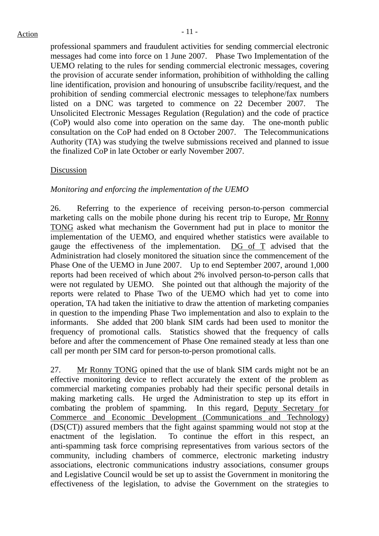professional spammers and fraudulent activities for sending commercial electronic messages had come into force on 1 June 2007. Phase Two Implementation of the UEMO relating to the rules for sending commercial electronic messages, covering the provision of accurate sender information, prohibition of withholding the calling line identification, provision and honouring of unsubscribe facility/request, and the prohibition of sending commercial electronic messages to telephone/fax numbers listed on a DNC was targeted to commence on 22 December 2007. The Unsolicited Electronic Messages Regulation (Regulation) and the code of practice (CoP) would also come into operation on the same day. The one-month public consultation on the CoP had ended on 8 October 2007. The Telecommunications Authority (TA) was studying the twelve submissions received and planned to issue the finalized CoP in late October or early November 2007.

### Discussion

## *Monitoring and enforcing the implementation of the UEMO*

26. Referring to the experience of receiving person-to-person commercial marketing calls on the mobile phone during his recent trip to Europe, Mr Ronny TONG asked what mechanism the Government had put in place to monitor the implementation of the UEMO, and enquired whether statistics were available to gauge the effectiveness of the implementation.  $\overline{DG}$  of  $\overline{T}$  advised that the Administration had closely monitored the situation since the commencement of the Phase One of the UEMO in June 2007. Up to end September 2007, around 1,000 reports had been received of which about 2% involved person-to-person calls that were not regulated by UEMO. She pointed out that although the majority of the reports were related to Phase Two of the UEMO which had yet to come into operation, TA had taken the initiative to draw the attention of marketing companies in question to the impending Phase Two implementation and also to explain to the informants. She added that 200 blank SIM cards had been used to monitor the frequency of promotional calls. Statistics showed that the frequency of calls before and after the commencement of Phase One remained steady at less than one call per month per SIM card for person-to-person promotional calls.

27. Mr Ronny TONG opined that the use of blank SIM cards might not be an effective monitoring device to reflect accurately the extent of the problem as commercial marketing companies probably had their specific personal details in making marketing calls. He urged the Administration to step up its effort in combating the problem of spamming. In this regard, Deputy Secretary for Commerce and Economic Development (Communications and Technology) (DS(CT)) assured members that the fight against spamming would not stop at the enactment of the legislation. To continue the effort in this respect, an anti-spamming task force comprising representatives from various sectors of the community, including chambers of commerce, electronic marketing industry associations, electronic communications industry associations, consumer groups and Legislative Council would be set up to assist the Government in monitoring the effectiveness of the legislation, to advise the Government on the strategies to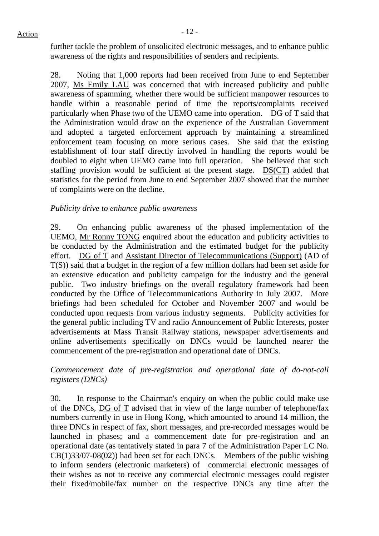further tackle the problem of unsolicited electronic messages, and to enhance public awareness of the rights and responsibilities of senders and recipients.

28. Noting that 1,000 reports had been received from June to end September 2007, Ms Emily LAU was concerned that with increased publicity and public awareness of spamming, whether there would be sufficient manpower resources to handle within a reasonable period of time the reports/complaints received particularly when Phase two of the UEMO came into operation. DG of T said that the Administration would draw on the experience of the Australian Government and adopted a targeted enforcement approach by maintaining a streamlined enforcement team focusing on more serious cases. She said that the existing establishment of four staff directly involved in handling the reports would be doubled to eight when UEMO came into full operation. She believed that such staffing provision would be sufficient at the present stage. DS(CT) added that statistics for the period from June to end September 2007 showed that the number of complaints were on the decline.

## *Publicity drive to enhance public awareness*

29. On enhancing public awareness of the phased implementation of the UEMO, Mr Ronny TONG enquired about the education and publicity activities to be conducted by the Administration and the estimated budget for the publicity effort. DG of T and Assistant Director of Telecommunications (Support) (AD of T(S)) said that a budget in the region of a few million dollars had been set aside for an extensive education and publicity campaign for the industry and the general public. Two industry briefings on the overall regulatory framework had been conducted by the Office of Telecommunications Authority in July 2007. More briefings had been scheduled for October and November 2007 and would be conducted upon requests from various industry segments. Publicity activities for the general public including TV and radio Announcement of Public Interests, poster advertisements at Mass Transit Railway stations, newspaper advertisements and online advertisements specifically on DNCs would be launched nearer the commencement of the pre-registration and operational date of DNCs.

## *Commencement date of pre-registration and operational date of do-not-call registers (DNCs)*

30. In response to the Chairman's enquiry on when the public could make use of the DNCs, DG of T advised that in view of the large number of telephone/fax numbers currently in use in Hong Kong, which amounted to around 14 million, the three DNCs in respect of fax, short messages, and pre-recorded messages would be launched in phases; and a commencement date for pre-registration and an operational date (as tentatively stated in para 7 of the Administration Paper LC No.  $CB(1)33/07-08(02)$  had been set for each DNCs. Members of the public wishing to inform senders (electronic marketers) of commercial electronic messages of their wishes as not to receive any commercial electronic messages could register their fixed/mobile/fax number on the respective DNCs any time after the